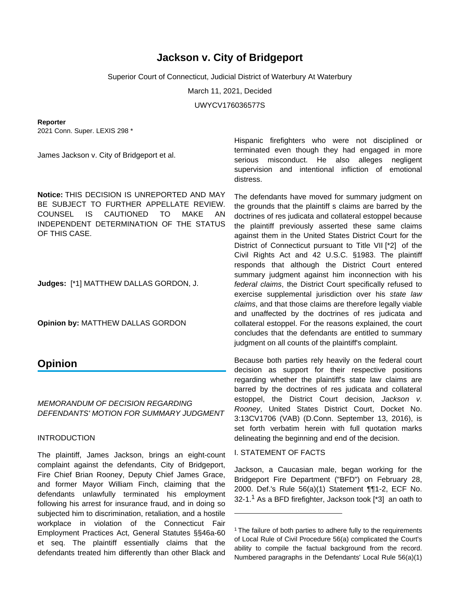# **Jackson v. City of Bridgeport**

Superior Court of Connecticut, Judicial District of Waterbury At Waterbury

March 11, 2021, Decided

UWYCV176036577S

#### **Reporter**

2021 Conn. Super. LEXIS 298 \*

James Jackson v. City of Bridgeport et al.

**Notice:** THIS DECISION IS UNREPORTED AND MAY BE SUBJECT TO FURTHER APPELLATE REVIEW. COUNSEL IS CAUTIONED TO MAKE AN INDEPENDENT DETERMINATION OF THE STATUS OF THIS CASE.

**Judges:** [\*1] MATTHEW DALLAS GORDON, J.

**Opinion by:** MATTHEW DALLAS GORDON

## **Opinion**

## MEMORANDUM OF DECISION REGARDING DEFENDANTS' MOTION FOR SUMMARY JUDGMENT

## INTRODUCTION

The plaintiff, James Jackson, brings an eight-count complaint against the defendants, City of Bridgeport, Fire Chief Brian Rooney, Deputy Chief James Grace, and former Mayor William Finch, claiming that the defendants unlawfully terminated his employment following his arrest for insurance fraud, and in doing so subjected him to discrimination, retaliation, and a hostile workplace in violation of the Connecticut Fair Employment Practices Act, General Statutes §§46a-60 et seq. The plaintiff essentially claims that the defendants treated him differently than other Black and

Hispanic firefighters who were not disciplined or terminated even though they had engaged in more serious misconduct. He also alleges negligent supervision and intentional infliction of emotional distress.

The defendants have moved for summary judgment on the grounds that the plaintiff s claims are barred by the doctrines of res judicata and collateral estoppel because the plaintiff previously asserted these same claims against them in the United States District Court for the District of Connecticut pursuant to Title VII [\*2] of the Civil Rights Act and 42 U.S.C. §1983. The plaintiff responds that although the District Court entered summary judgment against him inconnection with his federal claims, the District Court specifically refused to exercise supplemental jurisdiction over his state law claims, and that those claims are therefore legally viable and unaffected by the doctrines of res judicata and collateral estoppel. For the reasons explained, the court concludes that the defendants are entitled to summary judgment on all counts of the plaintiff's complaint.

Because both parties rely heavily on the federal court decision as support for their respective positions regarding whether the plaintiff's state law claims are barred by the doctrines of res judicata and collateral estoppel, the District Court decision, Jackson v. Rooney, United States District Court, Docket No. 3:13CV1706 (VAB) (D.Conn. September 13, 2016), is set forth verbatim herein with full quotation marks delineating the beginning and end of the decision.

#### I. STATEMENT OF FACTS

Jackson, a Caucasian male, began working for the Bridgeport Fire Department ("BFD") on February 28, 2000. Def.'s Rule 56(a)(1) Statement ¶¶1-2, ECF No. 32-1.<sup>1</sup> As a BFD firefighter, Jackson took [\*3] an oath to

<sup>&</sup>lt;sup>1</sup> The failure of both parties to adhere fully to the requirements of Local Rule of Civil Procedure 56(a) complicated the Court's ability to compile the factual background from the record. Numbered paragraphs in the Defendants' Local Rule 56(a)(1)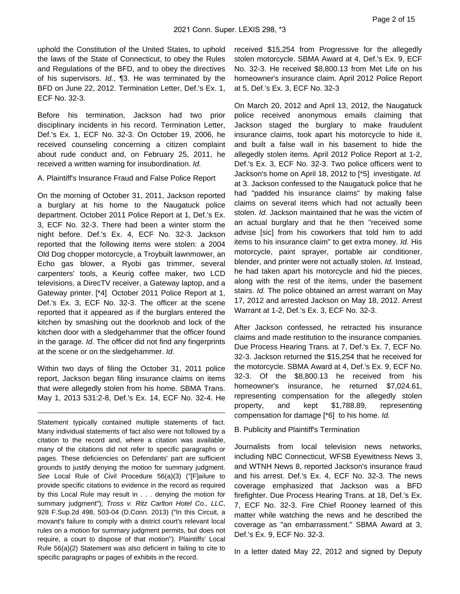uphold the Constitution of the United States, to uphold the laws of the State of Connecticut, to obey the Rules and Regulations of the BFD, and to obey the directives of his supervisors. Id., ¶3. He was terminated by the BFD on June 22, 2012. Termination Letter, Def.'s Ex. 1, ECF No. 32-3.

Before his termination, Jackson had two prior disciplinary incidents in his record. Termination Letter, Def.'s Ex. 1, ECF No. 32-3. On October 19, 2006, he received counseling concerning a citizen complaint about rude conduct and, on February 25, 2011, he received a written warning for insubordination. Id.

A. Plaintiff's Insurance Fraud and False Police Report

On the morning of October 31, 2011, Jackson reported a burglary at his home to the Naugatuck police department. October 2011 Police Report at 1, Def.'s Ex. 3, ECF No. 32-3. There had been a winter storm the night before. Def.'s Ex. 4, ECF No. 32-3. Jackson reported that the following items were stolen: a 2004 Old Dog chopper motorcycle, a Troybuilt lawnmower, an Echo gas blower, a Ryobi gas trimmer, several carpenters' tools, a Keurig coffee maker, two LCD televisions, a DirecTV receiver, a Gateway laptop, and a Gateway printer. [\*4] October 2011 Police Report at 1, Def.'s Ex. 3, ECF No. 32-3. The officer at the scene reported that it appeared as if the burglars entered the kitchen by smashing out the doorknob and lock of the kitchen door with a sledgehammer that the officer found in the garage. Id. The officer did not find any fingerprints at the scene or on the sledgehammer. Id.

Within two days of filing the October 31, 2011 police report, Jackson began filing insurance claims on items that were allegedly stolen from his home. SBMA Trans. May 1, 2013 531:2-8, Def.'s Ex. 14, ECF No. 32-4. He

received \$15,254 from Progressive for the allegedly stolen motorcycle. SBMA Award at 4, Def.'s Ex. 9, ECF No. 32-3. He received \$8,800.13 from Met Life on his homeowner's insurance claim. April 2012 Police Report at 5, Def.'s Ex. 3, ECF No. 32-3

On March 20, 2012 and April 13, 2012, the Naugatuck police received anonymous emails claiming that Jackson staged the burglary to make fraudulent insurance claims, took apart his motorcycle to hide it, and built a false wall in his basement to hide the allegedly stolen items. April 2012 Police Report at 1-2, Def.'s Ex. 3, ECF No. 32-3. Two police officers went to Jackson's home on April 18, 2012 to [\*5] investigate. Id. at 3. Jackson confessed to the Naugatuck police that he had "padded his insurance claims" by making false claims on several items which had not actually been stolen. Id. Jackson maintained that he was the victim of an actual burglary and that he then "received some advise [sic] from his coworkers that told him to add items to his insurance claim" to get extra money. Id. His motorcycle, paint sprayer, portable air conditioner, blender, and printer were not actually stolen. Id. Instead, he had taken apart his motorcycle and hid the pieces, along with the rest of the items, under the basement stairs. *Id.* The police obtained an arrest warrant on May 17, 2012 and arrested Jackson on May 18, 2012. Arrest Warrant at 1-2, Def.'s Ex. 3, ECF No. 32-3.

After Jackson confessed, he retracted his insurance claims and made restitution to the insurance companies. Due Process Hearing Trans. at 7, Def.'s Ex. 7, ECF No. 32-3. Jackson returned the \$15,254 that he received for the motorcycle. SBMA Award at 4, Def.'s Ex. 9, ECF No. 32-3. Of the \$8,800.13 he received from his homeowner's insurance, he returned \$7,024.61, representing compensation for the allegedly stolen property, and kept \$1,788.89, representing compensation for damage [\*6] to his home. Id.

B. Publicity and Plaintiff's Termination

Journalists from local television news networks, including NBC Connecticut, WFSB Eyewitness News 3, and WTNH News 8, reported Jackson's insurance fraud and his arrest. Def.'s Ex. 4, ECF No. 32-3. The news coverage emphasized that Jackson was a BFD firefighter. Due Process Hearing Trans. at 18, Def.'s Ex. 7, ECF No. 32-3. Fire Chief Rooney learned of this matter while watching the news and he described the coverage as "an embarrassment." SBMA Award at 3, Def.'s Ex. 9, ECF No. 32-3.

In a letter dated May 22, 2012 and signed by Deputy

Statement typically contained multiple statements of fact. Many individual statements of fact also were not followed by a citation to the record and, where a citation was available, many of the citations did not refer to specific paragraphs or pages. These deficiencies on Defendants' part are sufficient grounds to justify denying the motion for summary judgment. See Local Rule of Civil Procedure 56(a)(3) ("[F]ailure to provide specific citations to evidence in the record as required by this Local Rule may result in . . . denying the motion for summary judgment"); Tross v. Ritz Carlton Hotel Co., LLC, 928 F.Sup.2d 498, 503-04 (D.Conn. 2013) ("In this Circuit, a movant's failure to comply with a district court's relevant local rules on a motion for summary judgment permits, but does not require, a court to dispose of that motion"). Plaintiffs' Local Rule 56(a)(2) Statement was also deficient in failing to cite to specific paragraphs or pages of exhibits in the record.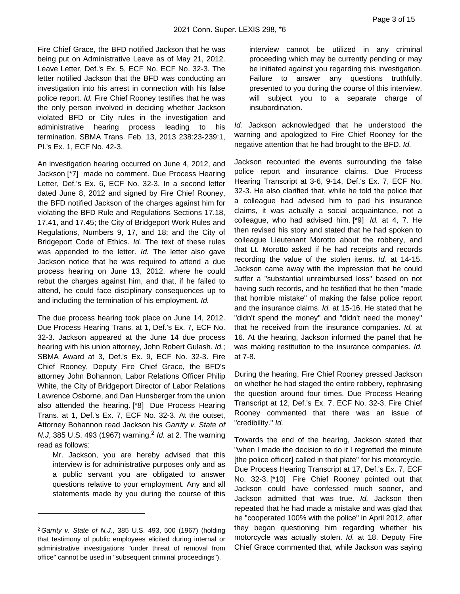Fire Chief Grace, the BFD notified Jackson that he was being put on Administrative Leave as of May 21, 2012. Leave Letter, Def.'s Ex. 5, ECF No. ECF No. 32-3. The letter notified Jackson that the BFD was conducting an investigation into his arrest in connection with his false police report. Id. Fire Chief Rooney testifies that he was the only person involved in deciding whether Jackson violated BFD or City rules in the investigation and administrative hearing process leading to his termination. SBMA Trans. Feb. 13, 2013 238:23-239:1, Pl.'s Ex. 1, ECF No. 42-3.

An investigation hearing occurred on June 4, 2012, and Jackson [\*7] made no comment. Due Process Hearing Letter, Def.'s Ex. 6, ECF No. 32-3. In a second letter dated June 8, 2012 and signed by Fire Chief Rooney, the BFD notified Jackson of the charges against him for violating the BFD Rule and Regulations Sections 17.18, 17.41, and 17.45; the City of Bridgeport Work Rules and Regulations, Numbers 9, 17, and 18; and the City of Bridgeport Code of Ethics. Id. The text of these rules was appended to the letter. Id. The letter also gave Jackson notice that he was required to attend a due process hearing on June 13, 2012, where he could rebut the charges against him, and that, if he failed to attend, he could face disciplinary consequences up to and including the termination of his employment. Id.

The due process hearing took place on June 14, 2012. Due Process Hearing Trans. at 1, Def.'s Ex. 7, ECF No. 32-3. Jackson appeared at the June 14 due process hearing with his union attorney, John Robert Gulash. Id.; SBMA Award at 3, Def.'s Ex. 9, ECF No. 32-3. Fire Chief Rooney, Deputy Fire Chief Grace, the BFD's attorney John Bohannon, Labor Relations Officer Philip White, the City of Bridgeport Director of Labor Relations Lawrence Osborne, and Dan Hunsberger from the union also attended the hearing. [\*8] Due Process Hearing Trans. at 1, Def.'s Ex. 7, ECF No. 32-3. At the outset, Attorney Bohannon read Jackson his Garrity v. State of N.J, 385 U.S. 493 (1967) warning.<sup>2</sup> Id. at 2. The warning read as follows:

Mr. Jackson, you are hereby advised that this interview is for administrative purposes only and as a public servant you are obligated to answer questions relative to your employment. Any and all statements made by you during the course of this

interview cannot be utilized in any criminal proceeding which may be currently pending or may be initiated against you regarding this investigation. Failure to answer any questions truthfully, presented to you during the course of this interview, will subject you to a separate charge of insubordination.

Id. Jackson acknowledged that he understood the warning and apologized to Fire Chief Rooney for the negative attention that he had brought to the BFD. Id.

Jackson recounted the events surrounding the false police report and insurance claims. Due Process Hearing Transcript at 3-6, 9-14, Def.'s Ex. 7, ECF No. 32-3. He also clarified that, while he told the police that a colleague had advised him to pad his insurance claims, it was actually a social acquaintance, not a colleague, who had advised him. [\*9] Id. at 4, 7. He then revised his story and stated that he had spoken to colleague Lieutenant Morotto about the robbery, and that Lt. Morotto asked if he had receipts and records recording the value of the stolen items. Id. at 14-15. Jackson came away with the impression that he could suffer a "substantial unreimbursed loss" based on not having such records, and he testified that he then "made that horrible mistake" of making the false police report and the insurance claims. Id. at 15-16. He stated that he "didn't spend the money" and "didn't need the money" that he received from the insurance companies. Id. at 16. At the hearing, Jackson informed the panel that he was making restitution to the insurance companies. Id. at 7-8.

During the hearing, Fire Chief Rooney pressed Jackson on whether he had staged the entire robbery, rephrasing the question around four times. Due Process Hearing Transcript at 12, Def.'s Ex. 7, ECF No. 32-3. Fire Chief Rooney commented that there was an issue of "credibility." Id.

Towards the end of the hearing, Jackson stated that "when I made the decision to do it I regretted the minute [the police officer] called in that plate" for his motorcycle. Due Process Hearing Transcript at 17, Def.'s Ex. 7, ECF No. 32-3. [\*10] Fire Chief Rooney pointed out that Jackson could have confessed much sooner, and Jackson admitted that was true. Id. Jackson then repeated that he had made a mistake and was glad that he "cooperated 100% with the police" in April 2012, after they began questioning him regarding whether his motorcycle was actually stolen. Id. at 18. Deputy Fire Chief Grace commented that, while Jackson was saying

<sup>2</sup>Garrity v. State of N.J., 385 U.S. 493, 500 (1967) (holding that testimony of public employees elicited during internal or administrative investigations "under threat of removal from office" cannot be used in "subsequent criminal proceedings").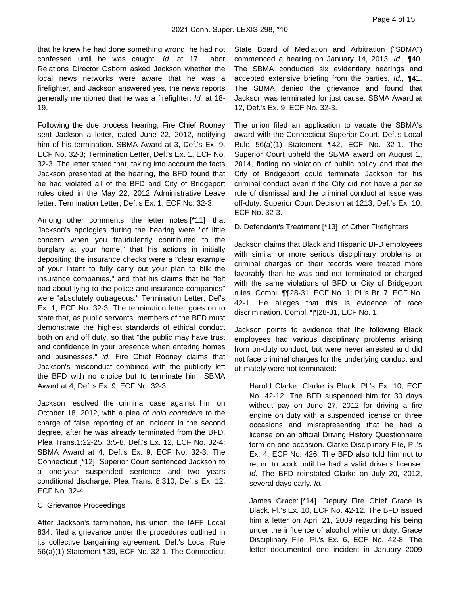that he knew he had done something wrong, he had not confessed until he was caught. Id. at 17. Labor Relations Director Osborn asked Jackson whether the local news networks were aware that he was a firefighter, and Jackson answered yes, the news reports generally mentioned that he was a firefighter. Id. at 18- 19.

Following the due process hearing, Fire Chief Rooney sent Jackson a letter, dated June 22, 2012, notifying him of his termination. SBMA Award at 3, Def.'s Ex. 9, ECF No. 32-3; Termination Letter, Def.'s Ex. 1, ECF No. 32-3. The letter stated that, taking into account the facts Jackson presented at the hearing, the BFD found that he had violated all of the BFD and City of Bridgeport rules cited in the May 22, 2012 Administrative Leave letter. Termination Letter, Def.'s Ex. 1, ECF No. 32-3.

Among other comments, the letter notes [\*11] that Jackson's apologies during the hearing were "of little concern when you fraudulently contributed to the burglary at your home," that his actions in initially depositing the insurance checks were a "clear example of your intent to fully carry out your plan to bilk the insurance companies," and that his claims that he "felt bad about lying to the police and insurance companies" were "absolutely outrageous." Termination Letter, Def's Ex. 1, ECF No. 32-3. The termination letter goes on to state that, as public servants, members of the BFD must demonstrate the highest standards of ethical conduct both on and off duty, so that "the public may have trust and confidence in your presence when entering homes and businesses." id. Fire Chief Rooney claims that Jackson's misconduct combined with the publicity left the BFD with no choice but to terminate him. SBMA Award at 4, Def.'s Ex. 9, ECF No. 32-3.

Jackson resolved the criminal case against him on October 18, 2012, with a plea of nolo contedere to the charge of false reporting of an incident in the second degree, after he was already terminated from the BFD. Plea Trans.1:22-25, 3:5-8, Def.'s Ex. 12, ECF No. 32-4; SBMA Award at 4, Def.'s Ex. 9, ECF No. 32-3. The Connecticut [\*12] Superior Court sentenced Jackson to a one-year suspended sentence and two years conditional discharge. Plea Trans. 8:310, Def.'s Ex. 12, ECF No. 32-4.

## C. Grievance Proceedings

After Jackson's termination, his union, the IAFF Local 834, filed a grievance under the procedures outlined in its collective bargaining agreement. Def.'s Local Rule 56(a)(1) Statement ¶39, ECF No. 32-1. The Connecticut

State Board of Mediation and Arbitration ("SBMA") commenced a hearing on January 14, 2013. Id., ¶40. The SBMA conducted six evidentiary hearings and accepted extensive briefing from the parties. Id., ¶41. The SBMA denied the grievance and found that Jackson was terminated for just cause. SBMA Award at 12, Def.'s Ex. 9, ECF No. 32-3.

The union filed an application to vacate the SBMA's award with the Connecticut Superior Court. Def.'s Local Rule 56(a)(1) Statement ¶42, ECF No. 32-1. The Superior Court upheld the SBMA award on August 1, 2014, finding no violation of public policy and that the City of Bridgeport could terminate Jackson for his criminal conduct even if the City did not have a per se rule of dismissal and the criminal conduct at issue was off-duty. Superior Court Decision at 1213, Def.'s Ex. 10, ECF No. 32-3.

D. Defendant's Treatment [\*13] of Other Firefighters

Jackson claims that Black and Hispanic BFD employees with similar or more serious disciplinary problems or criminal charges on their records were treated more favorably than he was and not terminated or charged with the same violations of BFD or City of Bridgeport rules. Compl. ¶¶28-31, ECF No. 1; Pl.'s Br. 7, ECF No. 42-1. He alleges that this is evidence of race discrimination. Compl. ¶¶28-31, ECF No. 1.

Jackson points to evidence that the following Black employees had various disciplinary problems arising from on-duty conduct, but were never arrested and did not face criminal charges for the underlying conduct and ultimately were not terminated:

Harold Clarke: Clarke is Black. Pl.'s Ex. 10, ECF No. 42-12. The BFD suspended him for 30 days without pay on June 27, 2012 for driving a fire engine on duty with a suspended license on three occasions and misrepresenting that he had a license on an official Driving History Questionnaire form on one occasion. Clarke Disciplinary File, Pl.'s Ex. 4, ECF No. 426. The BFD also told him not to return to work until he had a valid driver's license. Id. The BFD reinstated Clarke on July 20, 2012, several days early. Id.

James Grace: [\*14] Deputy Fire Chief Grace is Black. Pl.'s Ex. 10, ECF No. 42-12. The BFD issued him a letter on April 21, 2009 regarding his being under the influence of alcohol while on duty. Grace Disciplinary File, Pl.'s Ex. 6, ECF No. 42-8. The letter documented one incident in January 2009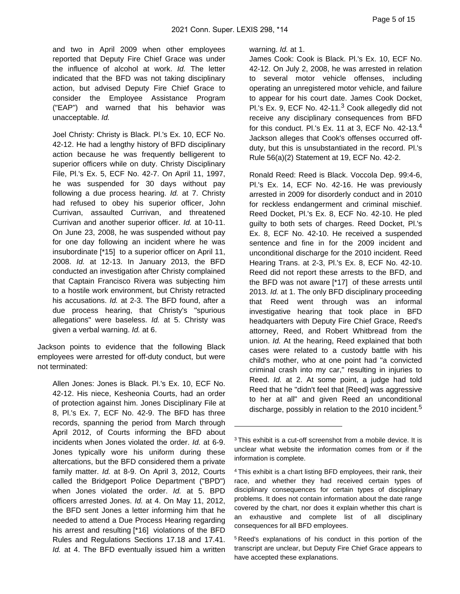and two in April 2009 when other employees reported that Deputy Fire Chief Grace was under the influence of alcohol at work. Id. The letter indicated that the BFD was not taking disciplinary action, but advised Deputy Fire Chief Grace to consider the Employee Assistance Program ("EAP") and warned that his behavior was unacceptable. Id.

Joel Christy: Christy is Black. Pl.'s Ex. 10, ECF No. 42-12. He had a lengthy history of BFD disciplinary action because he was frequently belligerent to superior officers while on duty. Christy Disciplinary File, Pl.'s Ex. 5, ECF No. 42-7. On April 11, 1997, he was suspended for 30 days without pay following a due process hearing. Id. at 7. Christy had refused to obey his superior officer, John Currivan, assaulted Currivan, and threatened Currivan and another superior officer. Id. at 10-11. On June 23, 2008, he was suspended without pay for one day following an incident where he was insubordinate [\*15] to a superior officer on April 11, 2008. Id. at 12-13. In January 2013, the BFD conducted an investigation after Christy complained that Captain Francisco Rivera was subjecting him to a hostile work environment, but Christy retracted his accusations. Id. at 2-3. The BFD found, after a due process hearing, that Christy's "spurious allegations" were baseless. Id. at 5. Christy was given a verbal warning. Id. at 6.

Jackson points to evidence that the following Black employees were arrested for off-duty conduct, but were not terminated:

Allen Jones: Jones is Black. Pl.'s Ex. 10, ECF No. 42-12. His niece, Kesheonia Courts, had an order of protection against him. Jones Disciplinary File at 8, Pl.'s Ex. 7, ECF No. 42-9. The BFD has three records, spanning the period from March through April 2012, of Courts informing the BFD about incidents when Jones violated the order. Id. at 6-9. Jones typically wore his uniform during these altercations, but the BFD considered them a private family matter. Id. at 8-9. On April 3, 2012, Courts called the Bridgeport Police Department ("BPD") when Jones violated the order. Id. at 5. BPD officers arrested Jones. Id. at 4. On May 11, 2012, the BFD sent Jones a letter informing him that he needed to attend a Due Process Hearing regarding his arrest and resulting [\*16] violations of the BFD Rules and Regulations Sections 17.18 and 17.41. Id. at 4. The BFD eventually issued him a written

#### warning. *Id.* at 1.

James Cook: Cook is Black. Pl.'s Ex. 10, ECF No. 42-12. On July 2, 2008, he was arrested in relation to several motor vehicle offenses, including operating an unregistered motor vehicle, and failure to appear for his court date. James Cook Docket, Pl.'s Ex. 9, ECF No. 42-11.<sup>3</sup> Cook allegedly did not receive any disciplinary consequences from BFD for this conduct. Pl.'s Ex. 11 at 3, ECF No. 42-13.<sup>4</sup> Jackson alleges that Cook's offenses occurred offduty, but this is unsubstantiated in the record. Pl.'s Rule 56(a)(2) Statement at 19, ECF No. 42-2.

Ronald Reed: Reed is Black. Voccola Dep. 99:4-6, Pl.'s Ex. 14, ECF No. 42-16. He was previously arrested in 2009 for disorderly conduct and in 2010 for reckless endangerment and criminal mischief. Reed Docket, Pl.'s Ex. 8, ECF No. 42-10. He pled guilty to both sets of charges. Reed Docket, Pl.'s Ex. 8, ECF No. 42-10. He received a suspended sentence and fine in for the 2009 incident and unconditional discharge for the 2010 incident. Reed Hearing Trans. at 2-3, Pl.'s Ex. 8, ECF No. 42-10. Reed did not report these arrests to the BFD, and the BFD was not aware [\*17] of these arrests until 2013. Id. at 1. The only BFD disciplinary proceeding that Reed went through was an informal investigative hearing that took place in BFD headquarters with Deputy Fire Chief Grace, Reed's attorney, Reed, and Robert Whitbread from the union. Id. At the hearing, Reed explained that both cases were related to a custody battle with his child's mother, who at one point had "a convicted criminal crash into my car," resulting in injuries to Reed. Id. at 2. At some point, a judge had told Reed that he "didn't feel that [Reed] was aggressive to her at all" and given Reed an unconditional discharge, possibly in relation to the 2010 incident.<sup>5</sup>

<sup>5</sup>Reed's explanations of his conduct in this portion of the transcript are unclear, but Deputy Fire Chief Grace appears to have accepted these explanations.

 $3$ This exhibit is a cut-off screenshot from a mobile device. It is unclear what website the information comes from or if the information is complete.

<sup>4</sup>This exhibit is a chart listing BFD employees, their rank, their race, and whether they had received certain types of disciplinary consequences for certain types of disciplinary problems. It does not contain information about the date range covered by the chart, nor does it explain whether this chart is an exhaustive and complete list of all disciplinary consequences for all BFD employees.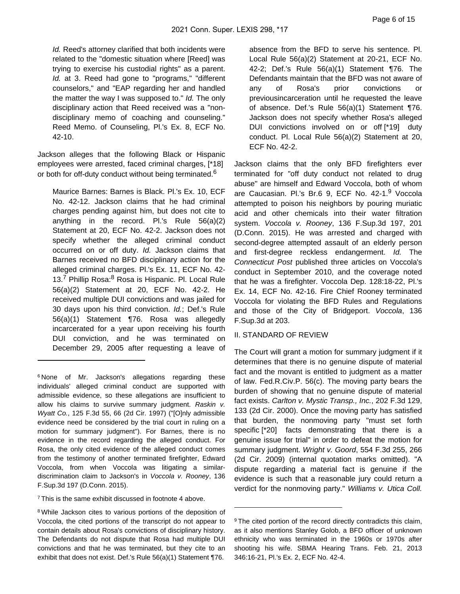Id. Reed's attorney clarified that both incidents were related to the "domestic situation where [Reed] was trying to exercise his custodial rights" as a parent. Id. at 3. Reed had gone to "programs," "different counselors," and "EAP regarding her and handled the matter the way I was supposed to." Id. The only disciplinary action that Reed received was a "nondisciplinary memo of coaching and counseling." Reed Memo. of Counseling, Pl.'s Ex. 8, ECF No. 42-10.

Jackson alleges that the following Black or Hispanic employees were arrested, faced criminal charges, [\*18] or both for off-duty conduct without being terminated.<sup>6</sup>

Maurice Barnes: Barnes is Black. Pl.'s Ex. 10, ECF No. 42-12. Jackson claims that he had criminal charges pending against him, but does not cite to anything in the record. Pl.'s Rule 56(a)(2) Statement at 20, ECF No. 42-2. Jackson does not specify whether the alleged criminal conduct occurred on or off duty. Id. Jackson claims that Barnes received no BFD disciplinary action for the alleged criminal charges. Pl.'s Ex. 11, ECF No. 42- 13.<sup>7</sup> Phillip Rosa:<sup>8</sup> Rosa is Hispanic. Pl. Local Rule 56(a)(2) Statement at 20, ECF No. 42-2. He received multiple DUI convictions and was jailed for 30 days upon his third conviction. Id.; Def.'s Rule 56(a)(1) Statement ¶76. Rosa was allegedly incarcerated for a year upon receiving his fourth DUI conviction, and he was terminated on December 29, 2005 after requesting a leave of

<sup>7</sup>This is the same exhibit discussed in footnote 4 above.

<sup>8</sup> While Jackson cites to various portions of the deposition of Voccola, the cited portions of the transcript do not appear to contain details about Rosa's convictions of disciplinary history. The Defendants do not dispute that Rosa had multiple DUI convictions and that he was terminated, but they cite to an exhibit that does not exist. Def.'s Rule 56(a)(1) Statement ¶76.

absence from the BFD to serve his sentence. Pl. Local Rule 56(a)(2) Statement at 20-21, ECF No. 42-2; Def.'s Rule 56(a)(1) Statement ¶76. The Defendants maintain that the BFD was not aware of any of Rosa's prior convictions or previousincarceration until he requested the leave of absence. Def.'s Rule 56(a)(1) Statement ¶76. Jackson does not specify whether Rosa's alleged DUI convictions involved on or off [\*19] duty conduct. Pl. Local Rule 56(a)(2) Statement at 20, ECF No. 42-2.

Jackson claims that the only BFD firefighters ever terminated for "off duty conduct not related to drug abuse" are himself and Edward Voccola, both of whom are Caucasian. Pl.'s Br.6 9, ECF No. 42-1.<sup>9</sup> Voccola attempted to poison his neighbors by pouring muriatic acid and other chemicals into their water filtration system. Voccola v. Rooney, 136 F.Sup.3d 197, 201 (D.Conn. 2015). He was arrested and charged with second-degree attempted assault of an elderly person and first-degree reckless endangerment. Id. The Connecticut Post published three articles on Voccola's conduct in September 2010, and the coverage noted that he was a firefighter. Voccola Dep. 128:18-22, Pl.'s Ex. 14, ECF No. 42-16. Fire Chief Rooney terminated Voccola for violating the BFD Rules and Regulations and those of the City of Bridgeport. Voccola, 136 F.Sup.3d at 203.

#### II. STANDARD OF REVIEW

The Court will grant a motion for summary judgment if it determines that there is no genuine dispute of material fact and the movant is entitled to judgment as a matter of law. Fed.R.Civ.P. 56(c). The moving party bears the burden of showing that no genuine dispute of material fact exists. Carlton v. Mystic Transp., Inc., 202 F.3d 129, 133 (2d Cir. 2000). Once the moving party has satisfied that burden, the nonmoving party "must set forth specific [\*20] facts demonstrating that there is a genuine issue for trial" in order to defeat the motion for summary judgment. Wright v. Goord, 554 F.3d 255, 266 (2d Cir. 2009) (internal quotation marks omitted). "A dispute regarding a material fact is genuine if the evidence is such that a reasonable jury could return a verdict for the nonmoving party." Williams v. Utica Coll.

<sup>&</sup>lt;sup>6</sup>None of Mr. Jackson's allegations regarding these individuals' alleged criminal conduct are supported with admissible evidence, so these allegations are insufficient to allow his claims to survive summary judgment. Raskin v. Wyatt Co., 125 F.3d 55, 66 (2d Cir. 1997) ("[O]nly admissible evidence need be considered by the trial court in ruling on a motion for summary judgment"). For Barnes, there is no evidence in the record regarding the alleged conduct. For Rosa, the only cited evidence of the alleged conduct comes from the testimony of another terminated firefighter, Edward Voccola, from when Voccola was litigating a similardiscrimination claim to Jackson's in Voccola v. Rooney, 136 F.Sup.3d 197 (D.Conn. 2015).

<sup>&</sup>lt;sup>9</sup> The cited portion of the record directly contradicts this claim, as it also mentions Stanley Golob, a BFD officer of unknown ethnicity who was terminated in the 1960s or 1970s after shooting his wife. SBMA Hearing Trans. Feb. 21, 2013 346:16-21, Pl.'s Ex. 2, ECF No. 42-4.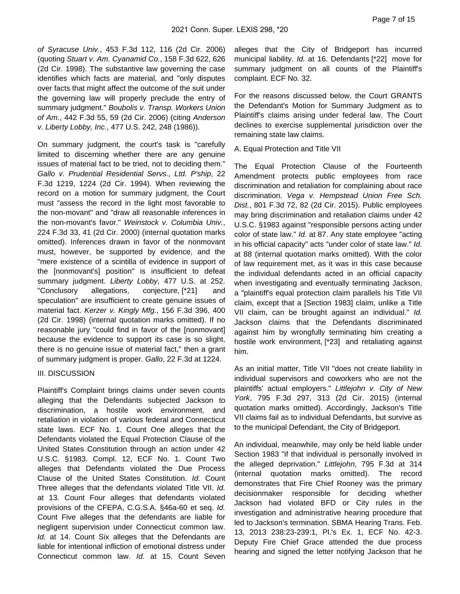of Syracuse Univ., 453 F.3d 112, 116 (2d Cir. 2006) (quoting Stuart v. Am. Cyanamid Co., 158 F.3d 622, 626 (2d Cir. 1998). The substantive law governing the case identifies which facts are material, and "only disputes over facts that might affect the outcome of the suit under the governing law will properly preclude the entry of summary judgment." Boubolis v. Transp. Workers Union of Am., 442 F.3d 55, 59 (2d Cir. 2006) (citing Anderson v. Liberty Lobby, Inc., 477 U.S. 242, 248 (1986)).

On summary judgment, the court's task is "carefully limited to discerning whether there are any genuine issues of material fact to be tried, not to deciding them." Gallo v. Prudential Residential Servs., Ltd. P'ship, 22 F.3d 1219, 1224 (2d Cir. 1994). When reviewing the record on a motion for summary judgment, the Court must "assess the record in the light most favorable to the non-movant" and "draw all reasonable inferences in the non-movant's favor." Weinstock v. Columbia Univ., 224 F.3d 33, 41 (2d Cir. 2000) (internal quotation marks omitted). Inferences drawn in favor of the nonmovant must, however, be supported by evidence, and the "mere existence of a scintilla of evidence in support of the [nonmovant's] position" is insufficient to defeat summary judgment. Liberty Lobby, 477 U.S. at 252. "Conclusory allegations, conjecture, [\*21] and speculation" are insufficient to create genuine issues of material fact. Kerzer v. Kingly Mfg., 156 F.3d 396, 400 (2d Cir. 1998) (internal quotation marks omitted). If no reasonable jury "could find in favor of the [nonmovant] because the evidence to support its case is so slight, there is no genuine issue of material fact," then a grant of summary judgment is proper. Gallo, 22 F.3d at 1224.

#### III. DISCUSSION

Plaintiff's Complaint brings claims under seven counts alleging that the Defendants subjected Jackson to discrimination, a hostile work environment, and retaliation in violation of various federal and Connecticut state laws. ECF No. 1. Count One alleges that the Defendants violated the Equal Protection Clause of the United States Constitution through an action under 42 U.S.C. §1983. Compl. 12, ECF No. 1. Count Two alleges that Defendants violated the Due Process Clause of the United States Constitution. Id. Count Three alleges that the defendants violated Title VII. Id. at 13. Count Four alleges that defendants violated provisions of the CFEPA, C.G.S.A. §46a-60 et seq. Id. Count Five alleges that the defendants are liable for negligent supervision under Connecticut common law. Id. at 14. Count Six alleges that the Defendants are liable for intentional infliction of emotional distress under Connecticut common law. Id. at 15. Count Seven

alleges that the City of Bridgeport has incurred municipal liability. Id. at 16. Defendants [\*22] move for summary judgment on all counts of the Plaintiff's complaint. ECF No. 32.

For the reasons discussed below, the Court GRANTS the Defendant's Motion for Summary Judgment as to Plaintiff's claims arising under federal law. The Court declines to exercise supplemental jurisdiction over the remaining state law claims.

#### A. Equal Protection and Title VII

The Equal Protection Clause of the Fourteenth Amendment protects public employees from race discrimination and retaliation for complaining about race discrimination. Vega v. Hempstead Union Free Sch. Dist., 801 F.3d 72, 82 (2d Cir. 2015). Public employees may bring discrimination and retaliation claims under 42 U.S.C. §1983 against "responsible persons acting under color of state law." Id. at 87. Any state employee "acting in his official capacity" acts "under color of state law." Id. at 88 (internal quotation marks omitted). With the color of law requirement met, as it was in this case because the individual defendants acted in an official capacity when investigating and eventually terminating Jackson, a "plaintiff's equal protection claim parallels his Title VII claim, except that a [Section 1983] claim, unlike a Title VII claim, can be brought against an individual." Id. Jackson claims that the Defendants discriminated against him by wrongfully terminating him creating a hostile work environment, [\*23] and retaliating against him.

As an initial matter, Title VII "does not create liability in individual supervisors and coworkers who are not the plaintiffs' actual employers." Littlejohn v. City of New York, 795 F.3d 297, 313 (2d Cir. 2015) (internal quotation marks omitted). Accordingly, Jackson's Title VII claims fail as to individual Defendants, but survive as to the municipal Defendant, the City of Bridgeport.

An individual, meanwhile, may only be held liable under Section 1983 "if that individual is personally involved in the alleged deprivation." Littlejohn, 795 F.3d at 314 (internal quotation marks omitted). The record demonstrates that Fire Chief Rooney was the primary decisionmaker responsible for deciding whether Jackson had violated BFD or City rules in the investigation and administrative hearing procedure that led to Jackson's termination. SBMA Hearing Trans. Feb. 13, 2013 238:23-239:1, Pl.'s Ex. 1, ECF No. 42-3. Deputy Fire Chief Grace attended the due process hearing and signed the letter notifying Jackson that he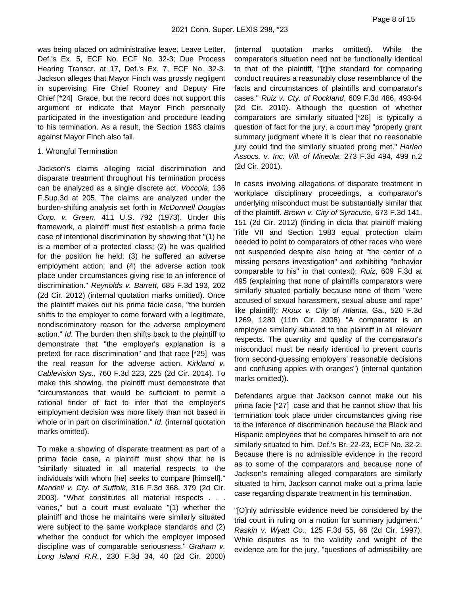was being placed on administrative leave. Leave Letter, Def.'s Ex. 5, ECF No. ECF No. 32-3; Due Process Hearing Transcr. at 17, Def.'s Ex. 7, ECF No. 32-3. Jackson alleges that Mayor Finch was grossly negligent in supervising Fire Chief Rooney and Deputy Fire Chief [\*24] Grace, but the record does not support this argument or indicate that Mayor Finch personally participated in the investigation and procedure leading to his termination. As a result, the Section 1983 claims against Mayor Finch also fail.

#### 1. Wrongful Termination

Jackson's claims alleging racial discrimination and disparate treatment throughout his termination process can be analyzed as a single discrete act. Voccola, 136 F.Sup.3d at 205. The claims are analyzed under the burden-shifting analysis set forth in McDonnell Douglas Corp. v. Green, 411 U.S. 792 (1973). Under this framework, a plaintiff must first establish a prima facie case of intentional discrimination by showing that "(1) he is a member of a protected class; (2) he was qualified for the position he held; (3) he suffered an adverse employment action; and (4) the adverse action took place under circumstances giving rise to an inference of discrimination." Reynolds v. Barrett, 685 F.3d 193, 202 (2d Cir. 2012) (internal quotation marks omitted). Once the plaintiff makes out his prima facie case, "the burden shifts to the employer to come forward with a legitimate, nondiscriminatory reason for the adverse employment action." Id. The burden then shifts back to the plaintiff to demonstrate that "the employer's explanation is a pretext for race discrimination" and that race [\*25] was the real reason for the adverse action. Kirkland v. Cablevision Sys., 760 F.3d 223, 225 (2d Cir. 2014). To make this showing, the plaintiff must demonstrate that "circumstances that would be sufficient to permit a rational finder of fact to infer that the employer's employment decision was more likely than not based in whole or in part on discrimination." *Id.* (internal quotation marks omitted).

To make a showing of disparate treatment as part of a prima facie case, a plaintiff must show that he is "similarly situated in all material respects to the individuals with whom [he] seeks to compare [himself]." Mandell v. Cty. of Suffolk, 316 F.3d 368, 379 (2d Cir. 2003). "What constitutes all material respects . . . varies," but a court must evaluate "(1) whether the plaintiff and those he maintains were similarly situated were subject to the same workplace standards and (2) whether the conduct for which the employer imposed discipline was of comparable seriousness." Graham v. Long Island R.R., 230 F.3d 34, 40 (2d Cir. 2000)

(internal quotation marks omitted). While the comparator's situation need not be functionally identical to that of the plaintiff, "[t]he standard for comparing conduct requires a reasonably close resemblance of the facts and circumstances of plaintiffs and comparator's cases." Ruiz v. Cty. of Rockland, 609 F.3d 486, 493-94 (2d Cir. 2010). Although the question of whether comparators are similarly situated [\*26] is typically a question of fact for the jury, a court may "properly grant summary judgment where it is clear that no reasonable jury could find the similarly situated prong met." Harlen Assocs. v. Inc. Vill. of Mineola, 273 F.3d 494, 499 n.2 (2d Cir. 2001).

In cases involving allegations of disparate treatment in workplace disciplinary proceedings, a comparator's underlying misconduct must be substantially similar that of the plaintiff. Brown v. City of Syracuse, 673 F.3d 141, 151 (2d Cir. 2012) (finding in dicta that plaintiff making Title VII and Section 1983 equal protection claim needed to point to comparators of other races who were not suspended despite also being at "the center of a missing persons investigation" and exhibiting "behavior comparable to his" in that context); Ruiz, 609 F.3d at 495 (explaining that none of plaintiffs comparators were similarly situated partially because none of them "were accused of sexual harassment, sexual abuse and rape" like plaintiff); Rioux v. City of Atlanta, Ga., 520 F.3d 1269, 1280 (11th Cir. 2008) "A comparator is an employee similarly situated to the plaintiff in all relevant respects. The quantity and quality of the comparator's misconduct must be nearly identical to prevent courts from second-guessing employers' reasonable decisions and confusing apples with oranges") (internal quotation marks omitted)).

Defendants argue that Jackson cannot make out his prima facie [\*27] case and that he cannot show that his termination took place under circumstances giving rise to the inference of discrimination because the Black and Hispanic employees that he compares himself to are not similarly situated to him. Def.'s Br. 22-23, ECF No. 32-2. Because there is no admissible evidence in the record as to some of the comparators and because none of Jackson's remaining alleged comparators are similarly situated to him, Jackson cannot make out a prima facie case regarding disparate treatment in his termination.

"[O]nly admissible evidence need be considered by the trial court in ruling on a motion for summary judgment." Raskin v. Wyatt Co., 125 F.3d 55, 66 (2d Cir. 1997). While disputes as to the validity and weight of the evidence are for the jury, "questions of admissibility are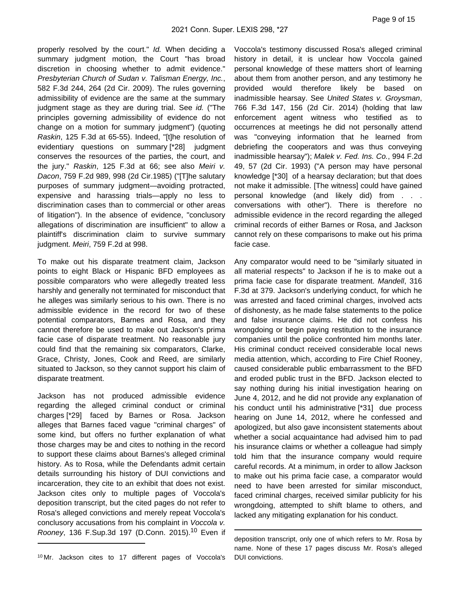properly resolved by the court." Id. When deciding a summary judgment motion, the Court "has broad discretion in choosing whether to admit evidence." Presbyterian Church of Sudan v. Talisman Energy, Inc., 582 F.3d 244, 264 (2d Cir. 2009). The rules governing admissibility of evidence are the same at the summary judgment stage as they are during trial. See id. ("The principles governing admissibility of evidence do not change on a motion for summary judgment") (quoting Raskin, 125 F.3d at 65-55). Indeed, "[t]he resolution of evidentiary questions on summary [\*28] judgment conserves the resources of the parties, the court, and the jury." Raskin, 125 F.3d at 66; see also Meiri v. Dacon, 759 F.2d 989, 998 (2d Cir.1985) ("[T]he salutary purposes of summary judgment—avoiding protracted, expensive and harassing trials—apply no less to discrimination cases than to commercial or other areas of litigation"). In the absence of evidence, "conclusory allegations of discrimination are insufficient" to allow a plaintiff's discrimination claim to survive summary judgment. Meiri, 759 F.2d at 998.

To make out his disparate treatment claim, Jackson points to eight Black or Hispanic BFD employees as possible comparators who were allegedly treated less harshly and generally not terminated for misconduct that he alleges was similarly serious to his own. There is no admissible evidence in the record for two of these potential comparators, Barnes and Rosa, and they cannot therefore be used to make out Jackson's prima facie case of disparate treatment. No reasonable jury could find that the remaining six comparators, Clarke, Grace, Christy, Jones, Cook and Reed, are similarly situated to Jackson, so they cannot support his claim of disparate treatment.

Jackson has not produced admissible evidence regarding the alleged criminal conduct or criminal charges [\*29] faced by Barnes or Rosa. Jackson alleges that Barnes faced vague "criminal charges" of some kind, but offers no further explanation of what those charges may be and cites to nothing in the record to support these claims about Barnes's alleged criminal history. As to Rosa, while the Defendants admit certain details surrounding his history of DUI convictions and incarceration, they cite to an exhibit that does not exist. Jackson cites only to multiple pages of Voccola's deposition transcript, but the cited pages do not refer to Rosa's alleged convictions and merely repeat Voccola's conclusory accusations from his complaint in Voccola v. Rooney, 136 F.Sup.3d 197 (D.Conn. 2015).<sup>10</sup> Even if

<sup>10</sup>Mr. Jackson cites to 17 different pages of Voccola's

Voccola's testimony discussed Rosa's alleged criminal history in detail, it is unclear how Voccola gained personal knowledge of these matters short of learning about them from another person, and any testimony he provided would therefore likely be based on inadmissible hearsay. See United States v. Groysman, 766 F.3d 147, 156 (2d Cir. 2014) (holding that law enforcement agent witness who testified as to occurrences at meetings he did not personally attend was "conveying information that he learned from debriefing the cooperators and was thus conveying inadmissible hearsay"); Malek v. Fed. Ins. Co., 994 F.2d 49, 57 (2d Cir. 1993) ("A person may have personal knowledge [\*30] of a hearsay declaration; but that does not make it admissible. [The witness] could have gained personal knowledge (and likely did) from . . . conversations with other"). There is therefore no admissible evidence in the record regarding the alleged criminal records of either Barnes or Rosa, and Jackson cannot rely on these comparisons to make out his prima facie case.

Any comparator would need to be "similarly situated in all material respects" to Jackson if he is to make out a prima facie case for disparate treatment. Mandell, 316 F.3d at 379. Jackson's underlying conduct, for which he was arrested and faced criminal charges, involved acts of dishonesty, as he made false statements to the police and false insurance claims. He did not confess his wrongdoing or begin paying restitution to the insurance companies until the police confronted him months later. His criminal conduct received considerable local news media attention, which, according to Fire Chief Rooney, caused considerable public embarrassment to the BFD and eroded public trust in the BFD. Jackson elected to say nothing during his initial investigation hearing on June 4, 2012, and he did not provide any explanation of his conduct until his administrative [\*31] due process hearing on June 14, 2012, where he confessed and apologized, but also gave inconsistent statements about whether a social acquaintance had advised him to pad his insurance claims or whether a colleague had simply told him that the insurance company would require careful records. At a minimum, in order to allow Jackson to make out his prima facie case, a comparator would need to have been arrested for similar misconduct, faced criminal charges, received similar publicity for his wrongdoing, attempted to shift blame to others, and lacked any mitigating explanation for his conduct.

deposition transcript, only one of which refers to Mr. Rosa by name. None of these 17 pages discuss Mr. Rosa's alleged DUI convictions.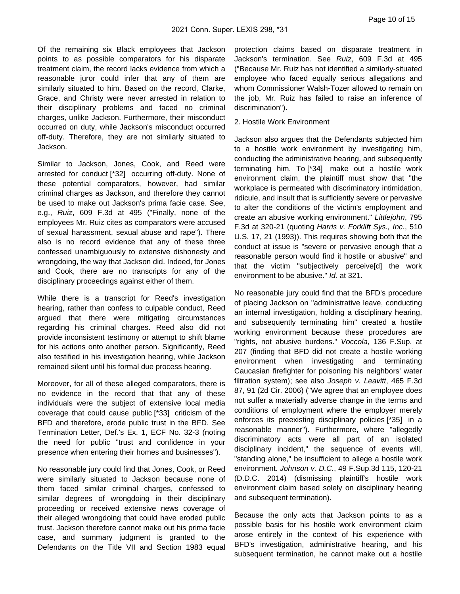Of the remaining six Black employees that Jackson points to as possible comparators for his disparate treatment claim, the record lacks evidence from which a reasonable juror could infer that any of them are similarly situated to him. Based on the record, Clarke, Grace, and Christy were never arrested in relation to their disciplinary problems and faced no criminal charges, unlike Jackson. Furthermore, their misconduct occurred on duty, while Jackson's misconduct occurred off-duty. Therefore, they are not similarly situated to Jackson.

Similar to Jackson, Jones, Cook, and Reed were arrested for conduct [\*32] occurring off-duty. None of these potential comparators, however, had similar criminal charges as Jackson, and therefore they cannot be used to make out Jackson's prima facie case. See, e.g., Ruiz, 609 F.3d at 495 ("Finally, none of the employees Mr. Ruiz cites as comparators were accused of sexual harassment, sexual abuse and rape"). There also is no record evidence that any of these three confessed unambiguously to extensive dishonesty and wrongdoing, the way that Jackson did. Indeed, for Jones and Cook, there are no transcripts for any of the disciplinary proceedings against either of them.

While there is a transcript for Reed's investigation hearing, rather than confess to culpable conduct, Reed argued that there were mitigating circumstances regarding his criminal charges. Reed also did not provide inconsistent testimony or attempt to shift blame for his actions onto another person. Significantly, Reed also testified in his investigation hearing, while Jackson remained silent until his formal due process hearing.

Moreover, for all of these alleged comparators, there is no evidence in the record that that any of these individuals were the subject of extensive local media coverage that could cause public [\*33] criticism of the BFD and therefore, erode public trust in the BFD. See Termination Letter, Def.'s Ex. 1, ECF No. 32-3 (noting the need for public "trust and confidence in your presence when entering their homes and businesses").

No reasonable jury could find that Jones, Cook, or Reed were similarly situated to Jackson because none of them faced similar criminal charges, confessed to similar degrees of wrongdoing in their disciplinary proceeding or received extensive news coverage of their alleged wrongdoing that could have eroded public trust. Jackson therefore cannot make out his prima facie case, and summary judgment is granted to the Defendants on the Title VII and Section 1983 equal

protection claims based on disparate treatment in Jackson's termination. See Ruiz, 609 F.3d at 495 ("Because Mr. Ruiz has not identified a similarly-situated employee who faced equally serious allegations and whom Commissioner Walsh-Tozer allowed to remain on the job, Mr. Ruiz has failed to raise an inference of discrimination").

#### 2. Hostile Work Environment

Jackson also argues that the Defendants subjected him to a hostile work environment by investigating him, conducting the administrative hearing, and subsequently terminating him. To [\*34] make out a hostile work environment claim, the plaintiff must show that "the workplace is permeated with discriminatory intimidation, ridicule, and insult that is sufficiently severe or pervasive to alter the conditions of the victim's employment and create an abusive working environment." Littlejohn, 795 F.3d at 320-21 (quoting Harris v. Forklift Sys., Inc., 510 U.S. 17, 21 (1993)). This requires showing both that the conduct at issue is "severe or pervasive enough that a reasonable person would find it hostile or abusive" and that the victim "subjectively perceive[d] the work environment to be abusive." Id. at 321.

No reasonable jury could find that the BFD's procedure of placing Jackson on "administrative leave, conducting an internal investigation, holding a disciplinary hearing, and subsequently terminating him" created a hostile working environment because these procedures are "rights, not abusive burdens." Voccola, 136 F.Sup. at 207 (finding that BFD did not create a hostile working environment when investigating and terminating Caucasian firefighter for poisoning his neighbors' water filtration system); see also Joseph v. Leavitt, 465 F.3d 87, 91 (2d Cir. 2006) ("We agree that an employee does not suffer a materially adverse change in the terms and conditions of employment where the employer merely enforces its preexisting disciplinary policies [\*35] in a reasonable manner"). Furthermore, where "allegedly discriminatory acts were all part of an isolated disciplinary incident," the sequence of events will, "standing alone," be insufficient to allege a hostile work environment. Johnson v. D.C., 49 F.Sup.3d 115, 120-21 (D.D.C. 2014) (dismissing plaintiff's hostile work environment claim based solely on disciplinary hearing and subsequent termination).

Because the only acts that Jackson points to as a possible basis for his hostile work environment claim arose entirely in the context of his experience with BFD's investigation, administrative hearing, and his subsequent termination, he cannot make out a hostile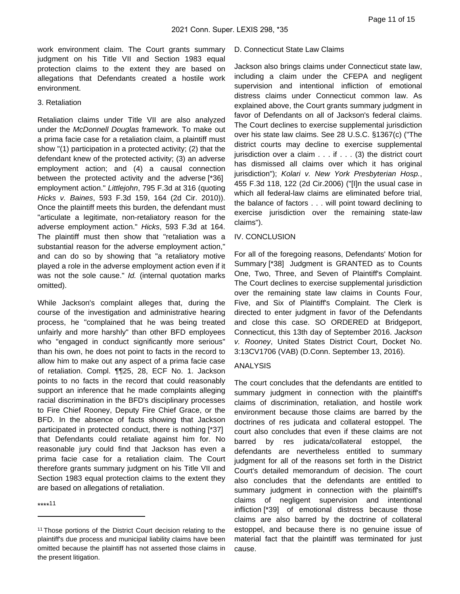work environment claim. The Court grants summary judgment on his Title VII and Section 1983 equal protection claims to the extent they are based on allegations that Defendants created a hostile work environment.

#### 3. Retaliation

Retaliation claims under Title VII are also analyzed under the McDonnell Douglas framework. To make out a prima facie case for a retaliation claim, a plaintiff must show "(1) participation in a protected activity; (2) that the defendant knew of the protected activity; (3) an adverse employment action; and (4) a causal connection between the protected activity and the adverse [\*36] employment action." Littlejohn, 795 F.3d at 316 (quoting Hicks v. Baines, 593 F.3d 159, 164 (2d Cir. 2010)). Once the plaintiff meets this burden, the defendant must "articulate a legitimate, non-retaliatory reason for the adverse employment action." Hicks, 593 F.3d at 164. The plaintiff must then show that "retaliation was a substantial reason for the adverse employment action," and can do so by showing that "a retaliatory motive played a role in the adverse employment action even if it was not the sole cause." Id. (internal quotation marks omitted).

While Jackson's complaint alleges that, during the course of the investigation and administrative hearing process, he "complained that he was being treated unfairly and more harshly" than other BFD employees who "engaged in conduct significantly more serious" than his own, he does not point to facts in the record to allow him to make out any aspect of a prima facie case of retaliation. Compl. ¶¶25, 28, ECF No. 1. Jackson points to no facts in the record that could reasonably support an inference that he made complaints alleging racial discrimination in the BFD's disciplinary processes to Fire Chief Rooney, Deputy Fire Chief Grace, or the BFD. In the absence of facts showing that Jackson participated in protected conduct, there is nothing [\*37] that Defendants could retaliate against him for. No reasonable jury could find that Jackson has even a prima facie case for a retaliation claim. The Court therefore grants summary judgment on his Title VII and Section 1983 equal protection claims to the extent they are based on allegations of retaliation.

\*\*\*\* 11

## D. Connecticut State Law Claims

Jackson also brings claims under Connecticut state law, including a claim under the CFEPA and negligent supervision and intentional infliction of emotional distress claims under Connecticut common law. As explained above, the Court grants summary judgment in favor of Defendants on all of Jackson's federal claims. The Court declines to exercise supplemental jurisdiction over his state law claims. See 28 U.S.C. §1367(c) ("The district courts may decline to exercise supplemental jurisdiction over a claim . . . if . . . (3) the district court has dismissed all claims over which it has original jurisdiction"); Kolari v. New York Presbyterian Hosp., 455 F.3d 118, 122 (2d Cir.2006) ("[I]n the usual case in which all federal-law claims are eliminated before trial, the balance of factors . . . will point toward declining to exercise jurisdiction over the remaining state-law claims").

#### IV. CONCLUSION

For all of the foregoing reasons, Defendants' Motion for Summary [\*38] Judgment is GRANTED as to Counts One, Two, Three, and Seven of Plaintiff's Complaint. The Court declines to exercise supplemental jurisdiction over the remaining state law claims in Counts Four, Five, and Six of Plaintiff's Complaint. The Clerk is directed to enter judgment in favor of the Defendants and close this case. SO ORDERED at Bridgeport, Connecticut, this 13th day of September 2016. Jackson v. Rooney, United States District Court, Docket No. 3:13CV1706 (VAB) (D.Conn. September 13, 2016).

## ANALYSIS

The court concludes that the defendants are entitled to summary judgment in connection with the plaintiff's claims of discrimination, retaliation, and hostile work environment because those claims are barred by the doctrines of res judicata and collateral estoppel. The court also concludes that even if these claims are not barred by res judicata/collateral estoppel, the defendants are nevertheless entitled to summary judgment for all of the reasons set forth in the District Court's detailed memorandum of decision. The court also concludes that the defendants are entitled to summary judgment in connection with the plaintiff's claims of negligent supervision and intentional infliction [\*39] of emotional distress because those claims are also barred by the doctrine of collateral estoppel, and because there is no genuine issue of material fact that the plaintiff was terminated for just cause.

<sup>&</sup>lt;sup>11</sup> Those portions of the District Court decision relating to the plaintiff's due process and municipal liability claims have been omitted because the plaintiff has not asserted those claims in the present litigation.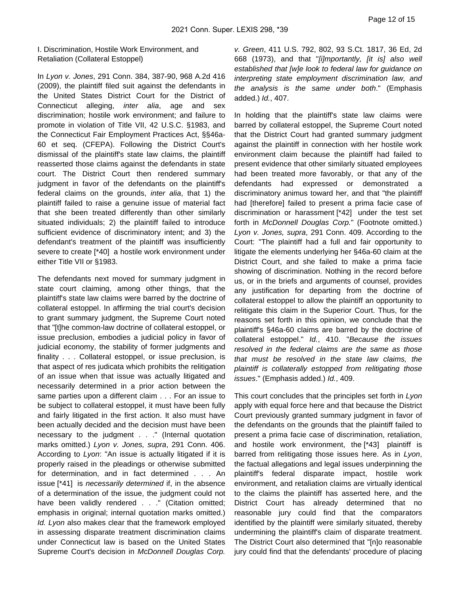I. Discrimination, Hostile Work Environment, and Retaliation (Collateral Estoppel)

In Lyon v. Jones, 291 Conn. 384, 387-90, 968 A.2d 416 (2009), the plaintiff filed suit against the defendants in the United States District Court for the District of Connecticut alleging, inter alia, age and sex discrimination; hostile work environment; and failure to promote in violation of Title VII, 42 U.S.C. §1983, and the Connecticut Fair Employment Practices Act, §§46a-60 et seq. (CFEPA). Following the District Court's dismissal of the plaintiff's state law claims, the plaintiff reasserted those claims against the defendants in state court. The District Court then rendered summary judgment in favor of the defendants on the plaintiff's federal claims on the grounds, inter alia, that 1) the plaintiff failed to raise a genuine issue of material fact that she been treated differently than other similarly situated individuals; 2) the plaintiff failed to introduce sufficient evidence of discriminatory intent; and 3) the defendant's treatment of the plaintiff was insufficiently severe to create [\*40] a hostile work environment under either Title VII or §1983.

The defendants next moved for summary judgment in state court claiming, among other things, that the plaintiff's state law claims were barred by the doctrine of collateral estoppel. In affirming the trial court's decision to grant summary judgment, the Supreme Court noted that "[t]he common-law doctrine of collateral estoppel, or issue preclusion, embodies a judicial policy in favor of judicial economy, the stability of former judgments and finality . . . Collateral estoppel, or issue preclusion, is that aspect of res judicata which prohibits the relitigation of an issue when that issue was actually litigated and necessarily determined in a prior action between the same parties upon a different claim . . . For an issue to be subject to collateral estoppel, it must have been fully and fairly litigated in the first action. It also must have been actually decided and the decision must have been necessary to the judgment . . ." (Internal quotation marks omitted.) Lyon v. Jones, supra, 291 Conn. 406. According to Lyon: "An issue is actually litigated if it is properly raised in the pleadings or otherwise submitted for determination, and in fact determined . . . An issue [\*41] is necessarily determined if, in the absence of a determination of the issue, the judgment could not have been validly rendered . . ." (Citation omitted; emphasis in original; internal quotation marks omitted.) Id. Lyon also makes clear that the framework employed in assessing disparate treatment discrimination claims under Connecticut law is based on the United States Supreme Court's decision in McDonnell Douglas Corp.

v. Green, 411 U.S. 792, 802, 93 S.Ct. 1817, 36 Ed, 2d 668 (1973), and that "[i]mportantly, [it is] also well established that [w]e look to federal law for guidance on interpreting state employment discrimination law, and the analysis is the same under both." (Emphasis added.) Id., 407.

In holding that the plaintiff's state law claims were barred by collateral estoppel, the Supreme Court noted that the District Court had granted summary judgment against the plaintiff in connection with her hostile work environment claim because the plaintiff had failed to present evidence that other similarly situated employees had been treated more favorably, or that any of the defendants had expressed or demonstrated a discriminatory animus toward her, and that "the plaintiff had [therefore] failed to present a prima facie case of discrimination or harassment [\*42] under the test set forth in McDonnell Douglas Corp." (Footnote omitted.) Lyon v. Jones, supra, 291 Conn. 409. According to the Court: "The plaintiff had a full and fair opportunity to litigate the elements underlying her §46a-60 claim at the District Court, and she failed to make a prima facie showing of discrimination. Nothing in the record before us, or in the briefs and arguments of counsel, provides any justification for departing from the doctrine of collateral estoppel to allow the plaintiff an opportunity to relitigate this claim in the Superior Court. Thus, for the reasons set forth in this opinion, we conclude that the plaintiff's §46a-60 claims are barred by the doctrine of collateral estoppel." Id., 410. "Because the issues resolved in the federal claims are the same as those that must be resolved in the state law claims, the plaintiff is collaterally estopped from relitigating those issues." (Emphasis added.) Id., 409.

This court concludes that the principles set forth in Lyon apply with equal force here and that because the District Court previously granted summary judgment in favor of the defendants on the grounds that the plaintiff failed to present a prima facie case of discrimination, retaliation, and hostile work environment, the [\*43] plaintiff is barred from relitigating those issues here. As in Lyon, the factual allegations and legal issues underpinning the plaintiff's federal disparate impact, hostile work environment, and retaliation claims are virtually identical to the claims the plaintiff has asserted here, and the District Court has already determined that no reasonable jury could find that the comparators identified by the plaintiff were similarly situated, thereby undermining the plaintiff's claim of disparate treatment. The District Court also determined that "[n]o reasonable jury could find that the defendants' procedure of placing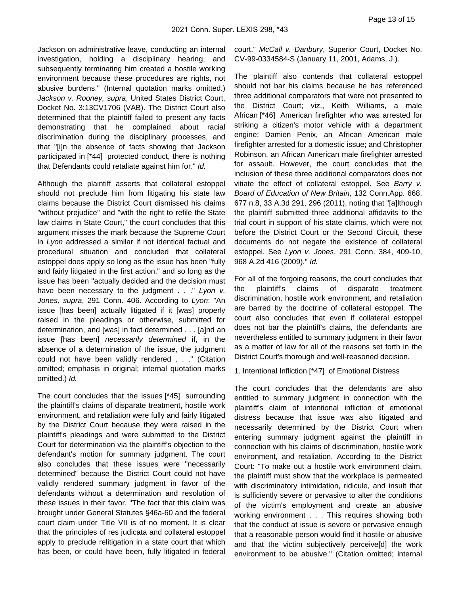Jackson on administrative leave, conducting an internal investigation, holding a disciplinary hearing, and subsequently terminating him created a hostile working environment because these procedures are rights, not abusive burdens." (Internal quotation marks omitted.) Jackson v. Rooney, supra, United States District Court, Docket No. 3:13CV1706 (VAB). The District Court also determined that the plaintiff failed to present any facts demonstrating that he complained about racial discrimination during the disciplinary processes, and that "[i]n the absence of facts showing that Jackson participated in [\*44] protected conduct, there is nothing that Defendants could retaliate against him for." Id.

Although the plaintiff asserts that collateral estoppel should not preclude him from litigating his state law claims because the District Court dismissed his claims "without prejudice" and "with the right to refile the State law claims in State Court," the court concludes that this argument misses the mark because the Supreme Court in Lyon addressed a similar if not identical factual and procedural situation and concluded that collateral estoppel does apply so long as the issue has been "fully and fairly litigated in the first action," and so long as the issue has been "actually decided and the decision must have been necessary to the judgment  $\ldots$  " Lyon v. Jones, supra, 291 Conn. 406. According to Lyon: "An issue [has been] actually litigated if it [was] properly raised in the pleadings or otherwise, submitted for determination, and [was] in fact determined . . . [a]nd an issue [has been] necessarily determined if, in the absence of a determination of the issue, the judgment could not have been validly rendered . . ." (Citation omitted; emphasis in original; internal quotation marks omitted.) Id.

The court concludes that the issues [\*45] surrounding the plaintiff's claims of disparate treatment, hostile work environment, and retaliation were fully and fairly litigated by the District Court because they were raised in the plaintiff's pleadings and were submitted to the District Court for determination via the plaintiff's objection to the defendant's motion for summary judgment. The court also concludes that these issues were "necessarily determined" because the District Court could not have validly rendered summary judgment in favor of the defendants without a determination and resolution of these issues in their favor. "The fact that this claim was brought under General Statutes §46a-60 and the federal court claim under Title VII is of no moment. It is clear that the principles of res judicata and collateral estoppel apply to preclude relitigation in a state court that which has been, or could have been, fully litigated in federal

court." McCall v. Danbury, Superior Court, Docket No. CV-99-0334584-S (January 11, 2001, Adams, J.).

The plaintiff also contends that collateral estoppel should not bar his claims because he has referenced three additional comparators that were not presented to the District Court; viz., Keith Williams, a male African [\*46] American firefighter who was arrested for striking a citizen's motor vehicle with a department engine; Damien Penix, an African American male firefighter arrested for a domestic issue; and Christopher Robinson, an African American male firefighter arrested for assault. However, the court concludes that the inclusion of these three additional comparators does not vitiate the effect of collateral estoppel. See Barry v. Board of Education of New Britain, 132 Conn.App. 668, 677 n.8, 33 A.3d 291, 296 (2011), noting that "[a]lthough the plaintiff submitted three additional affidavits to the trial court in support of his state claims, which were not before the District Court or the Second Circuit, these documents do not negate the existence of collateral estoppel. See Lyon v. Jones, 291 Conn. 384, 409-10, 968 A.2d 416 (2009)." Id.

For all of the forgoing reasons, the court concludes that the plaintiff's claims of disparate treatment discrimination, hostile work environment, and retaliation are barred by the doctrine of collateral estoppel. The court also concludes that even if collateral estoppel does not bar the plaintiff's claims, the defendants are nevertheless entitled to summary judgment in their favor as a matter of law for all of the reasons set forth in the District Court's thorough and well-reasoned decision.

1. Intentional Infliction [\*47] of Emotional Distress

The court concludes that the defendants are also entitled to summary judgment in connection with the plaintiff's claim of intentional infliction of emotional distress because that issue was also litigated and necessarily determined by the District Court when entering summary judgment against the plaintiff in connection with his claims of discrimination, hostile work environment, and retaliation. According to the District Court: "To make out a hostile work environment claim, the plaintiff must show that the workplace is permeated with discriminatory intimidation, ridicule, and insult that is sufficiently severe or pervasive to alter the conditions of the victim's employment and create an abusive working environment . . . This requires showing both that the conduct at issue is severe or pervasive enough that a reasonable person would find it hostile or abusive and that the victim subjectively perceive[d] the work environment to be abusive." (Citation omitted; internal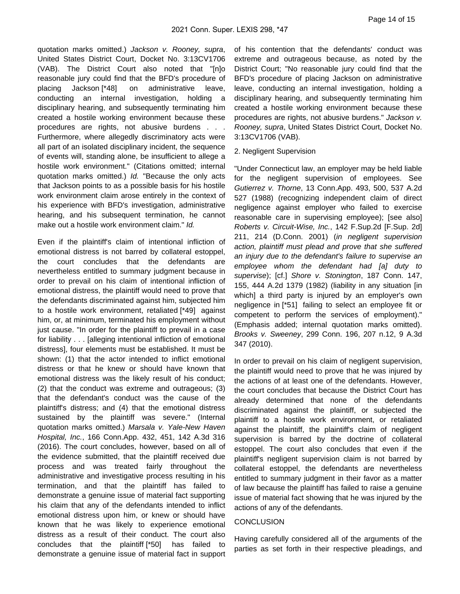quotation marks omitted.) Jackson v. Rooney, supra, United States District Court, Docket No. 3:13CV1706 (VAB). The District Court also noted that "[n]o reasonable jury could find that the BFD's procedure of placing Jackson [\*48] on administrative leave, conducting an internal investigation, holding a disciplinary hearing, and subsequently terminating him created a hostile working environment because these procedures are rights, not abusive burdens . . . Furthermore, where allegedly discriminatory acts were all part of an isolated disciplinary incident, the sequence of events will, standing alone, be insufficient to allege a hostile work environment." (Citations omitted; internal quotation marks omitted.) Id. "Because the only acts that Jackson points to as a possible basis for his hostile work environment claim arose entirely in the context of his experience with BFD's investigation, administrative hearing, and his subsequent termination, he cannot make out a hostile work environment claim." Id.

Even if the plaintiff's claim of intentional infliction of emotional distress is not barred by collateral estoppel, the court concludes that the defendants are nevertheless entitled to summary judgment because in order to prevail on his claim of intentional infliction of emotional distress, the plaintiff would need to prove that the defendants discriminated against him, subjected him to a hostile work environment, retaliated [\*49] against him, or, at minimum, terminated his employment without just cause. "In order for the plaintiff to prevail in a case for liability . . . [alleging intentional infliction of emotional distress], four elements must be established. It must be shown: (1) that the actor intended to inflict emotional distress or that he knew or should have known that emotional distress was the likely result of his conduct; (2) that the conduct was extreme and outrageous; (3) that the defendant's conduct was the cause of the plaintiff's distress; and (4) that the emotional distress sustained by the plaintiff was severe." (Internal quotation marks omitted.) Marsala v. Yale-New Haven Hospital, Inc., 166 Conn.App. 432, 451, 142 A.3d 316 (2016). The court concludes, however, based on all of the evidence submitted, that the plaintiff received due process and was treated fairly throughout the administrative and investigative process resulting in his termination, and that the plaintiff has failed to demonstrate a genuine issue of material fact supporting his claim that any of the defendants intended to inflict emotional distress upon him, or knew or should have known that he was likely to experience emotional distress as a result of their conduct. The court also concludes that the plaintiff [\*50] has failed to demonstrate a genuine issue of material fact in support

of his contention that the defendants' conduct was extreme and outrageous because, as noted by the District Court; "No reasonable jury could find that the BFD's procedure of placing Jackson on administrative leave, conducting an internal investigation, holding a disciplinary hearing, and subsequently terminating him created a hostile working environment because these procedures are rights, not abusive burdens." Jackson v. Rooney, supra, United States District Court, Docket No. 3:13CV1706 (VAB).

#### 2. Negligent Supervision

"Under Connecticut law, an employer may be held liable for the negligent supervision of employees. See Gutierrez v. Thorne, 13 Conn.App. 493, 500, 537 A.2d 527 (1988) (recognizing independent claim of direct negligence against employer who failed to exercise reasonable care in supervising employee); [see also] Roberts v. Circuit-Wise, Inc., 142 F.Sup.2d [F.Sup. 2d] 211, 214 (D.Conn. 2001) (in negligent supervision action, plaintiff must plead and prove that she suffered an injury due to the defendant's failure to supervise an employee whom the defendant had [a] duty to supervise); [cf.] Shore v. Stonington, 187 Conn. 147, 155, 444 A.2d 1379 (1982) (liability in any situation [in which] a third party is injured by an employer's own negligence in [\*51] failing to select an employee fit or competent to perform the services of employment)." (Emphasis added; internal quotation marks omitted). Brooks v. Sweeney, 299 Conn. 196, 207 n.12, 9 A.3d 347 (2010).

In order to prevail on his claim of negligent supervision, the plaintiff would need to prove that he was injured by the actions of at least one of the defendants. However, the court concludes that because the District Court has already determined that none of the defendants discriminated against the plaintiff, or subjected the plaintiff to a hostile work environment, or retaliated against the plaintiff, the plaintiff's claim of negligent supervision is barred by the doctrine of collateral estoppel. The court also concludes that even if the plaintiff's negligent supervision claim is not barred by collateral estoppel, the defendants are nevertheless entitled to summary judgment in their favor as a matter of law because the plaintiff has failed to raise a genuine issue of material fact showing that he was injured by the actions of any of the defendants.

## **CONCLUSION**

Having carefully considered all of the arguments of the parties as set forth in their respective pleadings, and